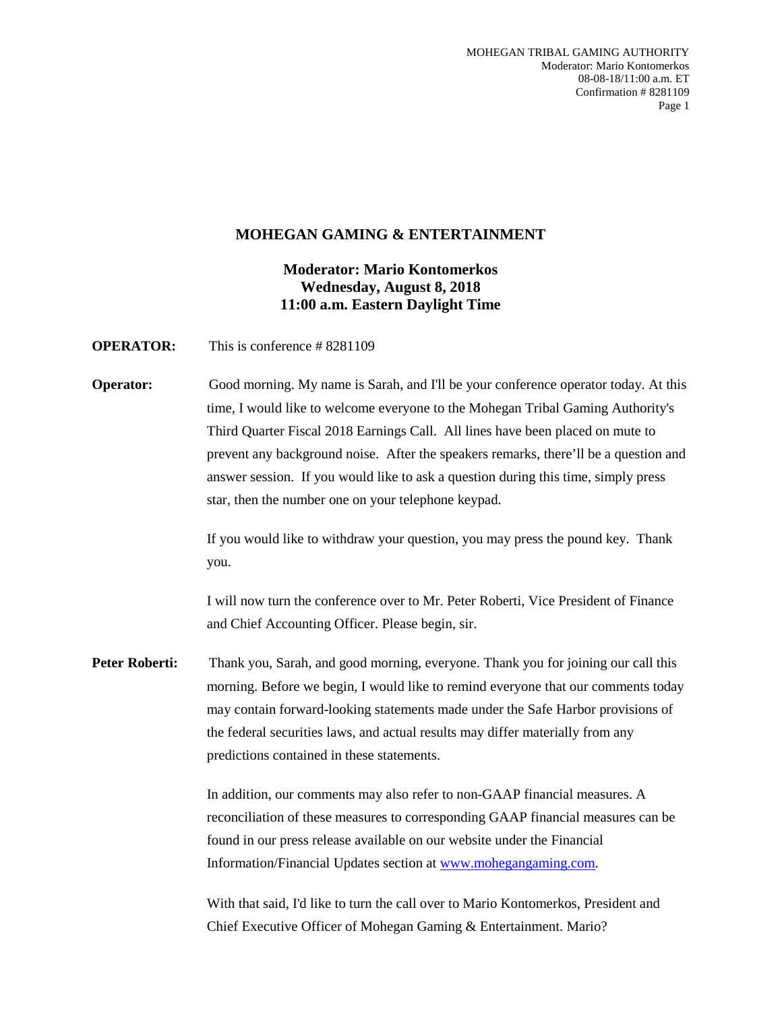### **MOHEGAN GAMING & ENTERTAINMENT**

## **Moderator: Mario Kontomerkos Wednesday, August 8, 2018 11:00 a.m. Eastern Daylight Time**

**OPERATOR:** This is conference # 8281109

**Operator:** Good morning. My name is Sarah, and I'll be your conference operator today. At this time, I would like to welcome everyone to the Mohegan Tribal Gaming Authority's Third Quarter Fiscal 2018 Earnings Call. All lines have been placed on mute to prevent any background noise. After the speakers remarks, there'll be a question and answer session. If you would like to ask a question during this time, simply press star, then the number one on your telephone keypad.

> If you would like to withdraw your question, you may press the pound key. Thank you.

> I will now turn the conference over to Mr. Peter Roberti, Vice President of Finance and Chief Accounting Officer. Please begin, sir.

**Peter Roberti:** Thank you, Sarah, and good morning, everyone. Thank you for joining our call this morning. Before we begin, I would like to remind everyone that our comments today may contain forward-looking statements made under the Safe Harbor provisions of the federal securities laws, and actual results may differ materially from any predictions contained in these statements.

> In addition, our comments may also refer to non-GAAP financial measures. A reconciliation of these measures to corresponding GAAP financial measures can be found in our press release available on our website under the Financial Information/Financial Updates section at www.mohegangaming.com.

With that said, I'd like to turn the call over to Mario Kontomerkos, President and Chief Executive Officer of Mohegan Gaming & Entertainment. Mario?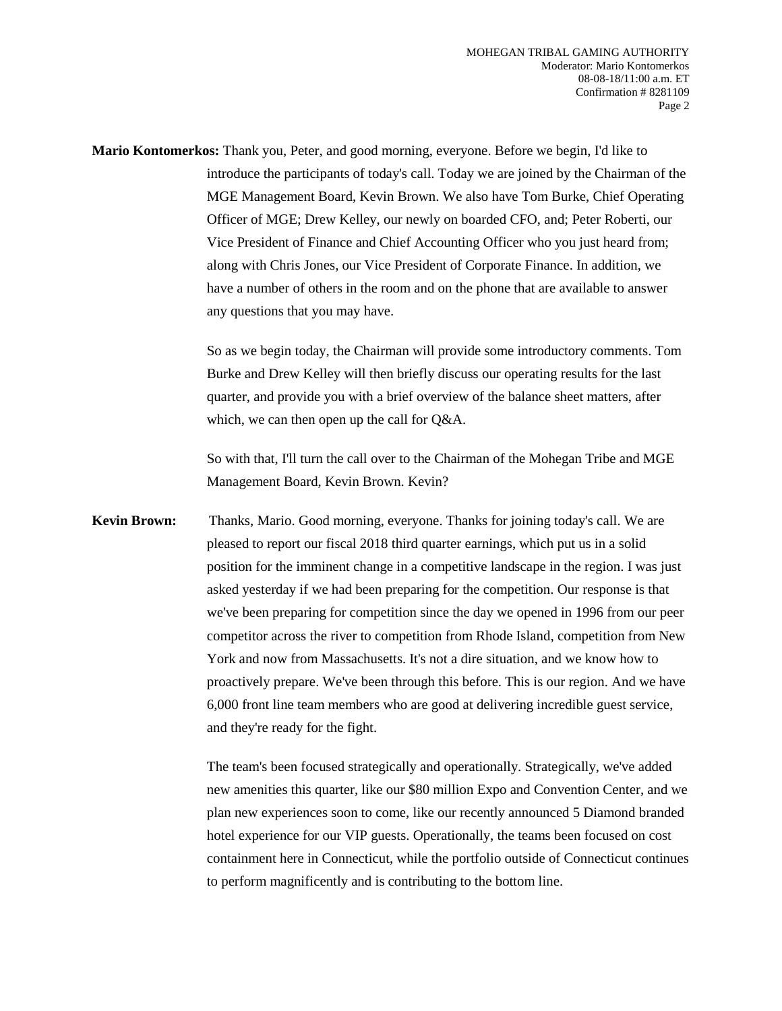**Mario Kontomerkos:** Thank you, Peter, and good morning, everyone. Before we begin, I'd like to introduce the participants of today's call. Today we are joined by the Chairman of the MGE Management Board, Kevin Brown. We also have Tom Burke, Chief Operating Officer of MGE; Drew Kelley, our newly on boarded CFO, and; Peter Roberti, our Vice President of Finance and Chief Accounting Officer who you just heard from; along with Chris Jones, our Vice President of Corporate Finance. In addition, we have a number of others in the room and on the phone that are available to answer any questions that you may have.

> So as we begin today, the Chairman will provide some introductory comments. Tom Burke and Drew Kelley will then briefly discuss our operating results for the last quarter, and provide you with a brief overview of the balance sheet matters, after which, we can then open up the call for Q&A.

So with that, I'll turn the call over to the Chairman of the Mohegan Tribe and MGE Management Board, Kevin Brown. Kevin?

**Kevin Brown:** Thanks, Mario. Good morning, everyone. Thanks for joining today's call. We are pleased to report our fiscal 2018 third quarter earnings, which put us in a solid position for the imminent change in a competitive landscape in the region. I was just asked yesterday if we had been preparing for the competition. Our response is that we've been preparing for competition since the day we opened in 1996 from our peer competitor across the river to competition from Rhode Island, competition from New York and now from Massachusetts. It's not a dire situation, and we know how to proactively prepare. We've been through this before. This is our region. And we have 6,000 front line team members who are good at delivering incredible guest service, and they're ready for the fight.

> The team's been focused strategically and operationally. Strategically, we've added new amenities this quarter, like our \$80 million Expo and Convention Center, and we plan new experiences soon to come, like our recently announced 5 Diamond branded hotel experience for our VIP guests. Operationally, the teams been focused on cost containment here in Connecticut, while the portfolio outside of Connecticut continues to perform magnificently and is contributing to the bottom line.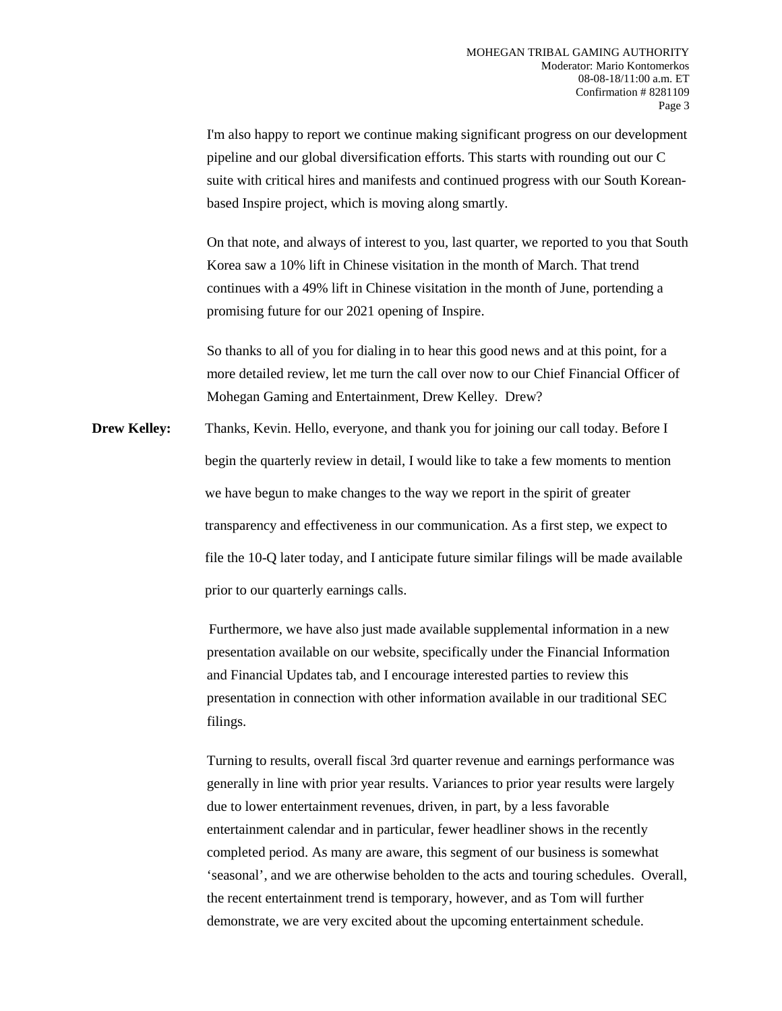I'm also happy to report we continue making significant progress on our development pipeline and our global diversification efforts. This starts with rounding out our C suite with critical hires and manifests and continued progress with our South Koreanbased Inspire project, which is moving along smartly.

On that note, and always of interest to you, last quarter, we reported to you that South Korea saw a 10% lift in Chinese visitation in the month of March. That trend continues with a 49% lift in Chinese visitation in the month of June, portending a promising future for our 2021 opening of Inspire.

So thanks to all of you for dialing in to hear this good news and at this point, for a more detailed review, let me turn the call over now to our Chief Financial Officer of Mohegan Gaming and Entertainment, Drew Kelley. Drew?

**Drew Kelley:** Thanks, Kevin. Hello, everyone, and thank you for joining our call today. Before I begin the quarterly review in detail, I would like to take a few moments to mention we have begun to make changes to the way we report in the spirit of greater transparency and effectiveness in our communication. As a first step, we expect to file the 10-Q later today, and I anticipate future similar filings will be made available prior to our quarterly earnings calls.

> Furthermore, we have also just made available supplemental information in a new presentation available on our website, specifically under the Financial Information and Financial Updates tab, and I encourage interested parties to review this presentation in connection with other information available in our traditional SEC filings.

Turning to results, overall fiscal 3rd quarter revenue and earnings performance was generally in line with prior year results. Variances to prior year results were largely due to lower entertainment revenues, driven, in part, by a less favorable entertainment calendar and in particular, fewer headliner shows in the recently completed period. As many are aware, this segment of our business is somewhat 'seasonal', and we are otherwise beholden to the acts and touring schedules. Overall, the recent entertainment trend is temporary, however, and as Tom will further demonstrate, we are very excited about the upcoming entertainment schedule.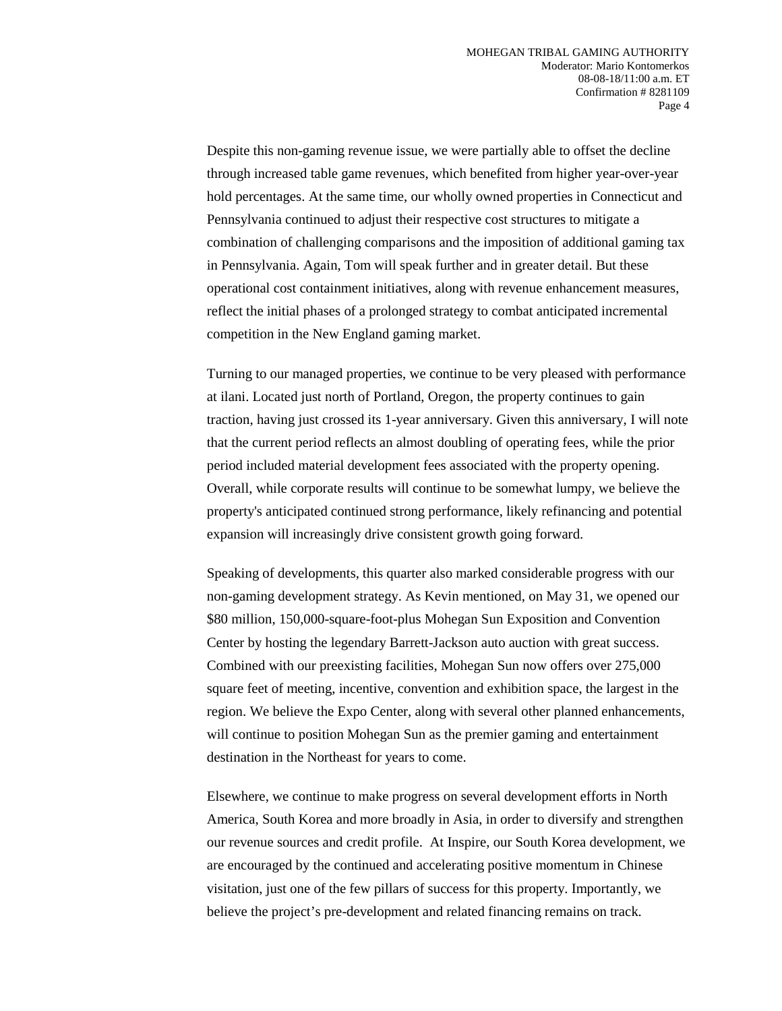Despite this non-gaming revenue issue, we were partially able to offset the decline through increased table game revenues, which benefited from higher year-over-year hold percentages. At the same time, our wholly owned properties in Connecticut and Pennsylvania continued to adjust their respective cost structures to mitigate a combination of challenging comparisons and the imposition of additional gaming tax in Pennsylvania. Again, Tom will speak further and in greater detail. But these operational cost containment initiatives, along with revenue enhancement measures, reflect the initial phases of a prolonged strategy to combat anticipated incremental competition in the New England gaming market.

Turning to our managed properties, we continue to be very pleased with performance at ilani. Located just north of Portland, Oregon, the property continues to gain traction, having just crossed its 1-year anniversary. Given this anniversary, I will note that the current period reflects an almost doubling of operating fees, while the prior period included material development fees associated with the property opening. Overall, while corporate results will continue to be somewhat lumpy, we believe the property's anticipated continued strong performance, likely refinancing and potential expansion will increasingly drive consistent growth going forward.

Speaking of developments, this quarter also marked considerable progress with our non-gaming development strategy. As Kevin mentioned, on May 31, we opened our \$80 million, 150,000-square-foot-plus Mohegan Sun Exposition and Convention Center by hosting the legendary Barrett-Jackson auto auction with great success. Combined with our preexisting facilities, Mohegan Sun now offers over 275,000 square feet of meeting, incentive, convention and exhibition space, the largest in the region. We believe the Expo Center, along with several other planned enhancements, will continue to position Mohegan Sun as the premier gaming and entertainment destination in the Northeast for years to come.

Elsewhere, we continue to make progress on several development efforts in North America, South Korea and more broadly in Asia, in order to diversify and strengthen our revenue sources and credit profile. At Inspire, our South Korea development, we are encouraged by the continued and accelerating positive momentum in Chinese visitation, just one of the few pillars of success for this property. Importantly, we believe the project's pre-development and related financing remains on track.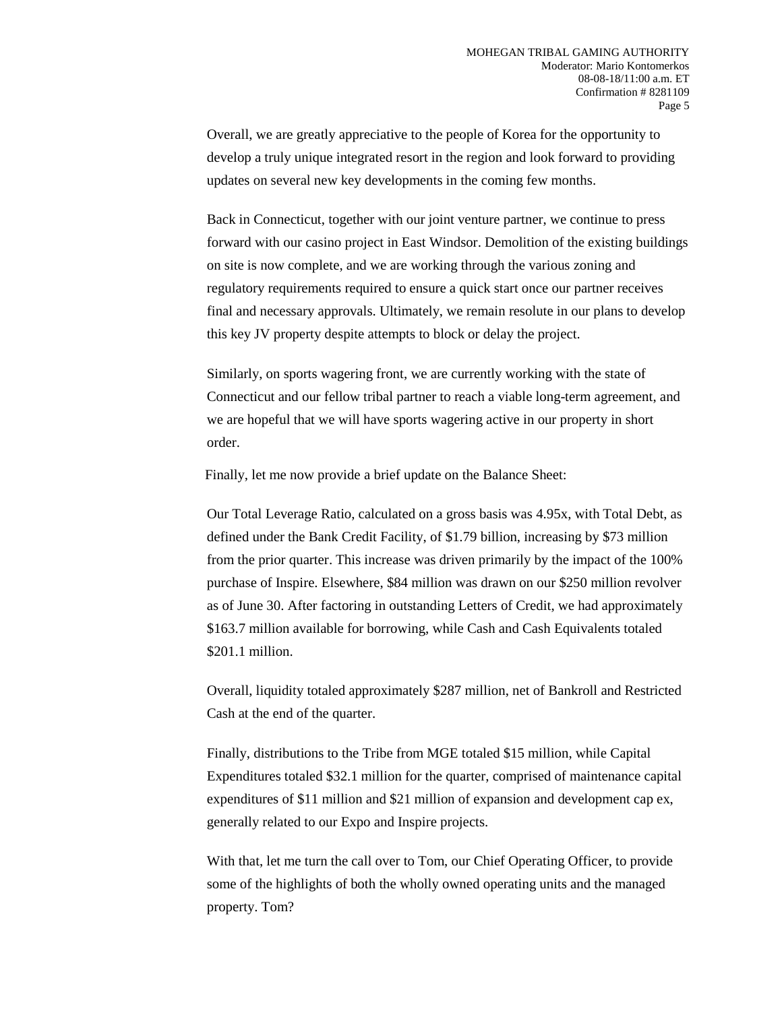Overall, we are greatly appreciative to the people of Korea for the opportunity to develop a truly unique integrated resort in the region and look forward to providing updates on several new key developments in the coming few months.

Back in Connecticut, together with our joint venture partner, we continue to press forward with our casino project in East Windsor. Demolition of the existing buildings on site is now complete, and we are working through the various zoning and regulatory requirements required to ensure a quick start once our partner receives final and necessary approvals. Ultimately, we remain resolute in our plans to develop this key JV property despite attempts to block or delay the project.

Similarly, on sports wagering front, we are currently working with the state of Connecticut and our fellow tribal partner to reach a viable long-term agreement, and we are hopeful that we will have sports wagering active in our property in short order.

Finally, let me now provide a brief update on the Balance Sheet:

Our Total Leverage Ratio, calculated on a gross basis was 4.95x, with Total Debt, as defined under the Bank Credit Facility, of \$1.79 billion, increasing by \$73 million from the prior quarter. This increase was driven primarily by the impact of the 100% purchase of Inspire. Elsewhere, \$84 million was drawn on our \$250 million revolver as of June 30. After factoring in outstanding Letters of Credit, we had approximately \$163.7 million available for borrowing, while Cash and Cash Equivalents totaled \$201.1 million.

Overall, liquidity totaled approximately \$287 million, net of Bankroll and Restricted Cash at the end of the quarter.

Finally, distributions to the Tribe from MGE totaled \$15 million, while Capital Expenditures totaled \$32.1 million for the quarter, comprised of maintenance capital expenditures of \$11 million and \$21 million of expansion and development cap ex, generally related to our Expo and Inspire projects.

With that, let me turn the call over to Tom, our Chief Operating Officer, to provide some of the highlights of both the wholly owned operating units and the managed property. Tom?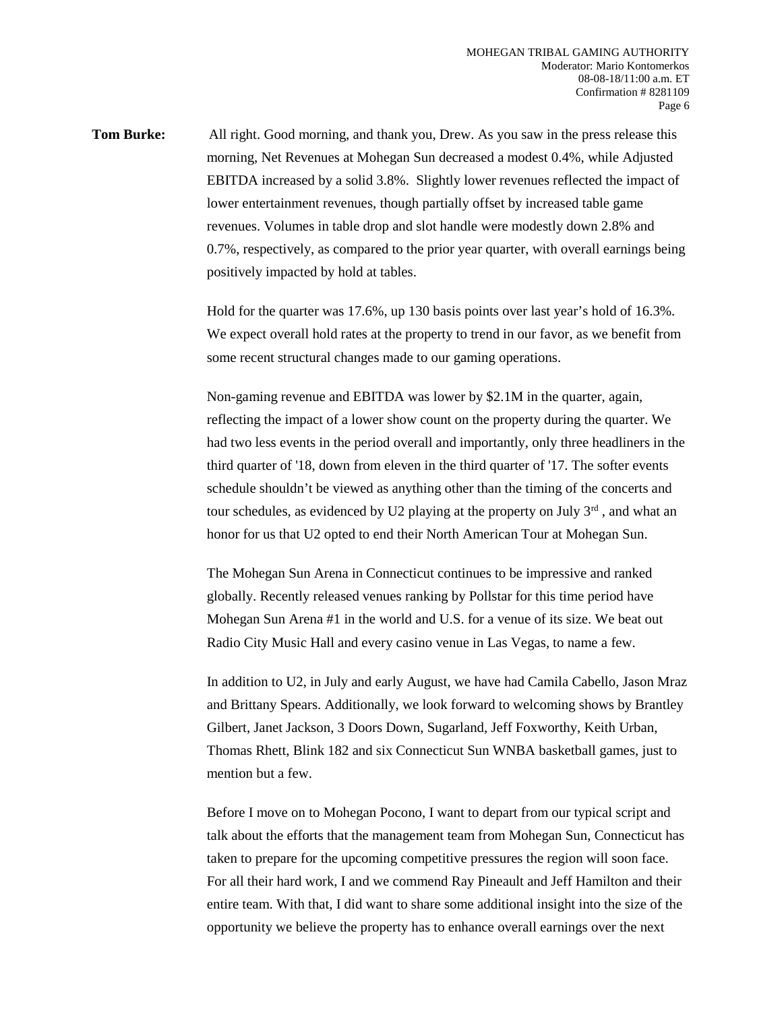**Tom Burke:** All right. Good morning, and thank you, Drew. As you saw in the press release this morning, Net Revenues at Mohegan Sun decreased a modest 0.4%, while Adjusted EBITDA increased by a solid 3.8%. Slightly lower revenues reflected the impact of lower entertainment revenues, though partially offset by increased table game revenues. Volumes in table drop and slot handle were modestly down 2.8% and 0.7%, respectively, as compared to the prior year quarter, with overall earnings being positively impacted by hold at tables.

> Hold for the quarter was 17.6%, up 130 basis points over last year's hold of 16.3%. We expect overall hold rates at the property to trend in our favor, as we benefit from some recent structural changes made to our gaming operations.

> Non-gaming revenue and EBITDA was lower by \$2.1M in the quarter, again, reflecting the impact of a lower show count on the property during the quarter. We had two less events in the period overall and importantly, only three headliners in the third quarter of '18, down from eleven in the third quarter of '17. The softer events schedule shouldn't be viewed as anything other than the timing of the concerts and tour schedules, as evidenced by U2 playing at the property on July  $3<sup>rd</sup>$ , and what an honor for us that U2 opted to end their North American Tour at Mohegan Sun.

The Mohegan Sun Arena in Connecticut continues to be impressive and ranked globally. Recently released venues ranking by Pollstar for this time period have Mohegan Sun Arena #1 in the world and U.S. for a venue of its size. We beat out Radio City Music Hall and every casino venue in Las Vegas, to name a few.

In addition to U2, in July and early August, we have had Camila Cabello, Jason Mraz and Brittany Spears. Additionally, we look forward to welcoming shows by Brantley Gilbert, Janet Jackson, 3 Doors Down, Sugarland, Jeff Foxworthy, Keith Urban, Thomas Rhett, Blink 182 and six Connecticut Sun WNBA basketball games, just to mention but a few.

Before I move on to Mohegan Pocono, I want to depart from our typical script and talk about the efforts that the management team from Mohegan Sun, Connecticut has taken to prepare for the upcoming competitive pressures the region will soon face. For all their hard work, I and we commend Ray Pineault and Jeff Hamilton and their entire team. With that, I did want to share some additional insight into the size of the opportunity we believe the property has to enhance overall earnings over the next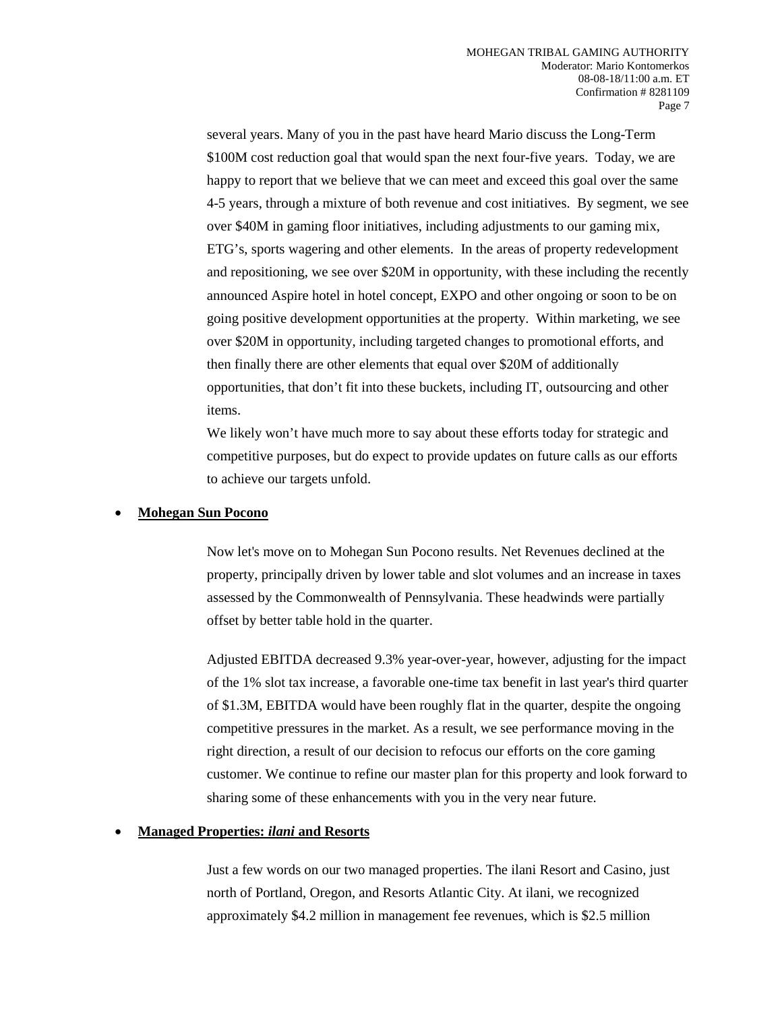several years. Many of you in the past have heard Mario discuss the Long-Term \$100M cost reduction goal that would span the next four-five years. Today, we are happy to report that we believe that we can meet and exceed this goal over the same 4-5 years, through a mixture of both revenue and cost initiatives. By segment, we see over \$40M in gaming floor initiatives, including adjustments to our gaming mix, ETG's, sports wagering and other elements. In the areas of property redevelopment and repositioning, we see over \$20M in opportunity, with these including the recently announced Aspire hotel in hotel concept, EXPO and other ongoing or soon to be on going positive development opportunities at the property. Within marketing, we see over \$20M in opportunity, including targeted changes to promotional efforts, and then finally there are other elements that equal over \$20M of additionally opportunities, that don't fit into these buckets, including IT, outsourcing and other items.

We likely won't have much more to say about these efforts today for strategic and competitive purposes, but do expect to provide updates on future calls as our efforts to achieve our targets unfold.

### **Mohegan Sun Pocono**

Now let's move on to Mohegan Sun Pocono results. Net Revenues declined at the property, principally driven by lower table and slot volumes and an increase in taxes assessed by the Commonwealth of Pennsylvania. These headwinds were partially offset by better table hold in the quarter.

Adjusted EBITDA decreased 9.3% year-over-year, however, adjusting for the impact of the 1% slot tax increase, a favorable one-time tax benefit in last year's third quarter of \$1.3M, EBITDA would have been roughly flat in the quarter, despite the ongoing competitive pressures in the market. As a result, we see performance moving in the right direction, a result of our decision to refocus our efforts on the core gaming customer. We continue to refine our master plan for this property and look forward to sharing some of these enhancements with you in the very near future.

#### **Managed Properties:** *ilani* **and Resorts**

Just a few words on our two managed properties. The ilani Resort and Casino, just north of Portland, Oregon, and Resorts Atlantic City. At ilani, we recognized approximately \$4.2 million in management fee revenues, which is \$2.5 million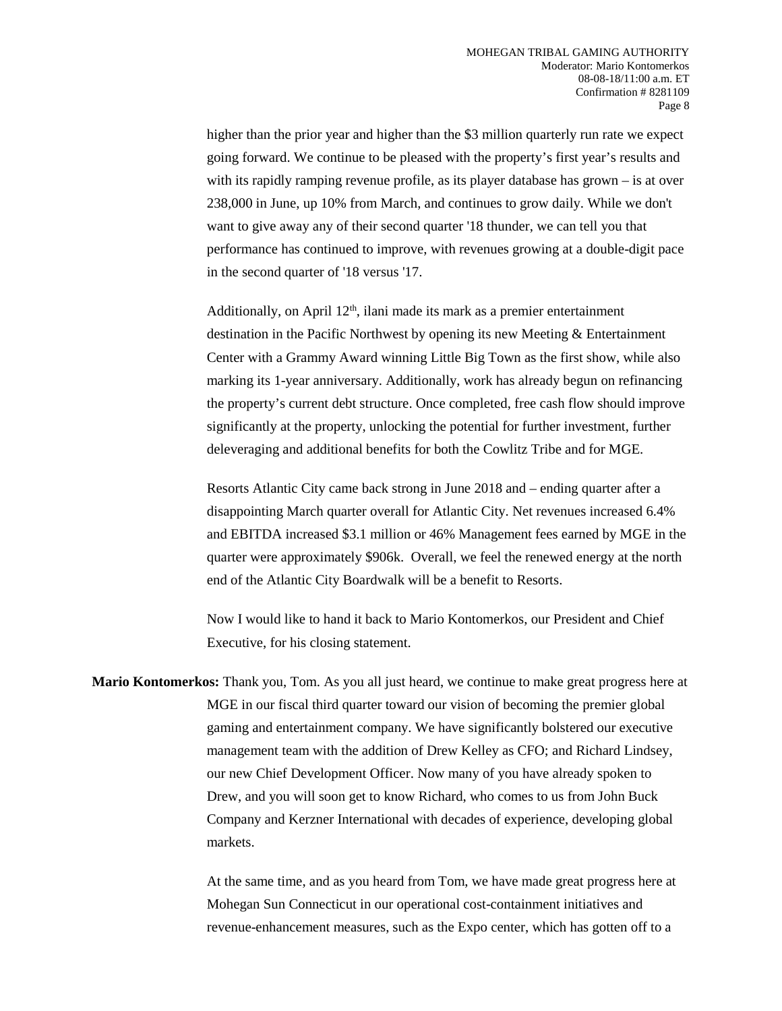higher than the prior year and higher than the \$3 million quarterly run rate we expect going forward. We continue to be pleased with the property's first year's results and with its rapidly ramping revenue profile, as its player database has grown – is at over 238,000 in June, up 10% from March, and continues to grow daily. While we don't want to give away any of their second quarter '18 thunder, we can tell you that performance has continued to improve, with revenues growing at a double-digit pace in the second quarter of '18 versus '17.

Additionally, on April  $12<sup>th</sup>$ , ilani made its mark as a premier entertainment destination in the Pacific Northwest by opening its new Meeting & Entertainment Center with a Grammy Award winning Little Big Town as the first show, while also marking its 1-year anniversary. Additionally, work has already begun on refinancing the property's current debt structure. Once completed, free cash flow should improve significantly at the property, unlocking the potential for further investment, further deleveraging and additional benefits for both the Cowlitz Tribe and for MGE.

Resorts Atlantic City came back strong in June 2018 and – ending quarter after a disappointing March quarter overall for Atlantic City. Net revenues increased 6.4% and EBITDA increased \$3.1 million or 46% Management fees earned by MGE in the quarter were approximately \$906k. Overall, we feel the renewed energy at the north end of the Atlantic City Boardwalk will be a benefit to Resorts.

Now I would like to hand it back to Mario Kontomerkos, our President and Chief Executive, for his closing statement.

**Mario Kontomerkos:** Thank you, Tom. As you all just heard, we continue to make great progress here at MGE in our fiscal third quarter toward our vision of becoming the premier global gaming and entertainment company. We have significantly bolstered our executive management team with the addition of Drew Kelley as CFO; and Richard Lindsey, our new Chief Development Officer. Now many of you have already spoken to Drew, and you will soon get to know Richard, who comes to us from John Buck Company and Kerzner International with decades of experience, developing global markets.

> At the same time, and as you heard from Tom, we have made great progress here at Mohegan Sun Connecticut in our operational cost-containment initiatives and revenue-enhancement measures, such as the Expo center, which has gotten off to a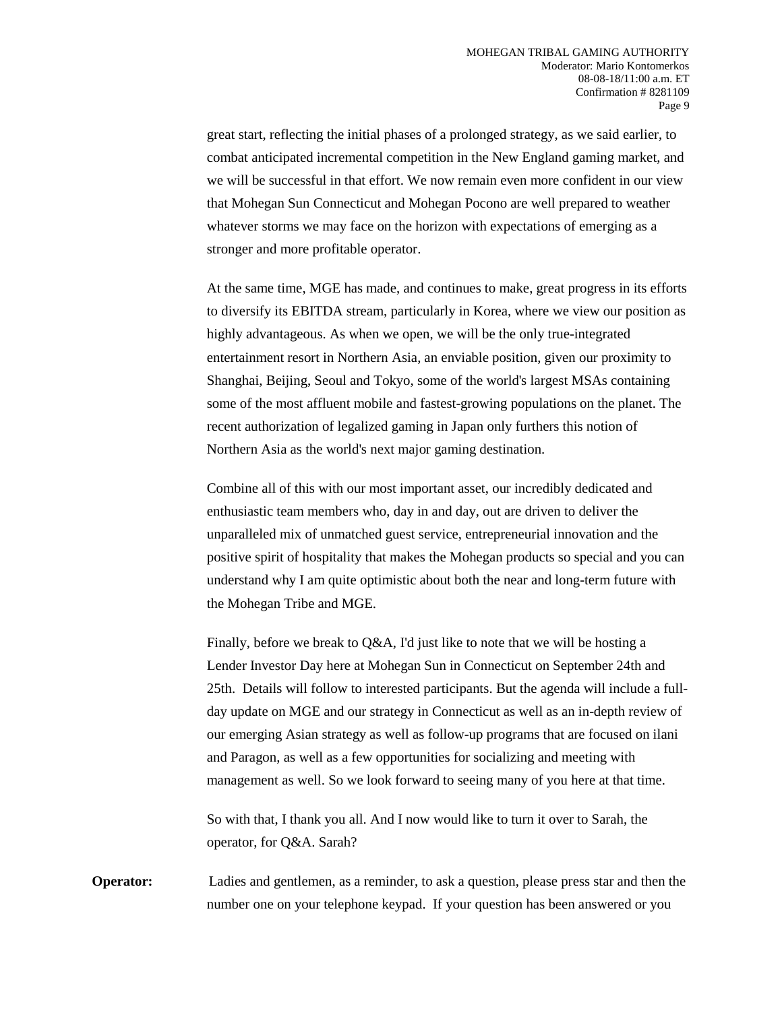great start, reflecting the initial phases of a prolonged strategy, as we said earlier, to combat anticipated incremental competition in the New England gaming market, and we will be successful in that effort. We now remain even more confident in our view that Mohegan Sun Connecticut and Mohegan Pocono are well prepared to weather whatever storms we may face on the horizon with expectations of emerging as a stronger and more profitable operator.

At the same time, MGE has made, and continues to make, great progress in its efforts to diversify its EBITDA stream, particularly in Korea, where we view our position as highly advantageous. As when we open, we will be the only true-integrated entertainment resort in Northern Asia, an enviable position, given our proximity to Shanghai, Beijing, Seoul and Tokyo, some of the world's largest MSAs containing some of the most affluent mobile and fastest-growing populations on the planet. The recent authorization of legalized gaming in Japan only furthers this notion of Northern Asia as the world's next major gaming destination.

Combine all of this with our most important asset, our incredibly dedicated and enthusiastic team members who, day in and day, out are driven to deliver the unparalleled mix of unmatched guest service, entrepreneurial innovation and the positive spirit of hospitality that makes the Mohegan products so special and you can understand why I am quite optimistic about both the near and long-term future with the Mohegan Tribe and MGE.

Finally, before we break to Q&A, I'd just like to note that we will be hosting a Lender Investor Day here at Mohegan Sun in Connecticut on September 24th and 25th. Details will follow to interested participants. But the agenda will include a fullday update on MGE and our strategy in Connecticut as well as an in-depth review of our emerging Asian strategy as well as follow-up programs that are focused on ilani and Paragon, as well as a few opportunities for socializing and meeting with management as well. So we look forward to seeing many of you here at that time.

So with that, I thank you all. And I now would like to turn it over to Sarah, the operator, for Q&A. Sarah?

**Operator:** Ladies and gentlemen, as a reminder, to ask a question, please press star and then the number one on your telephone keypad. If your question has been answered or you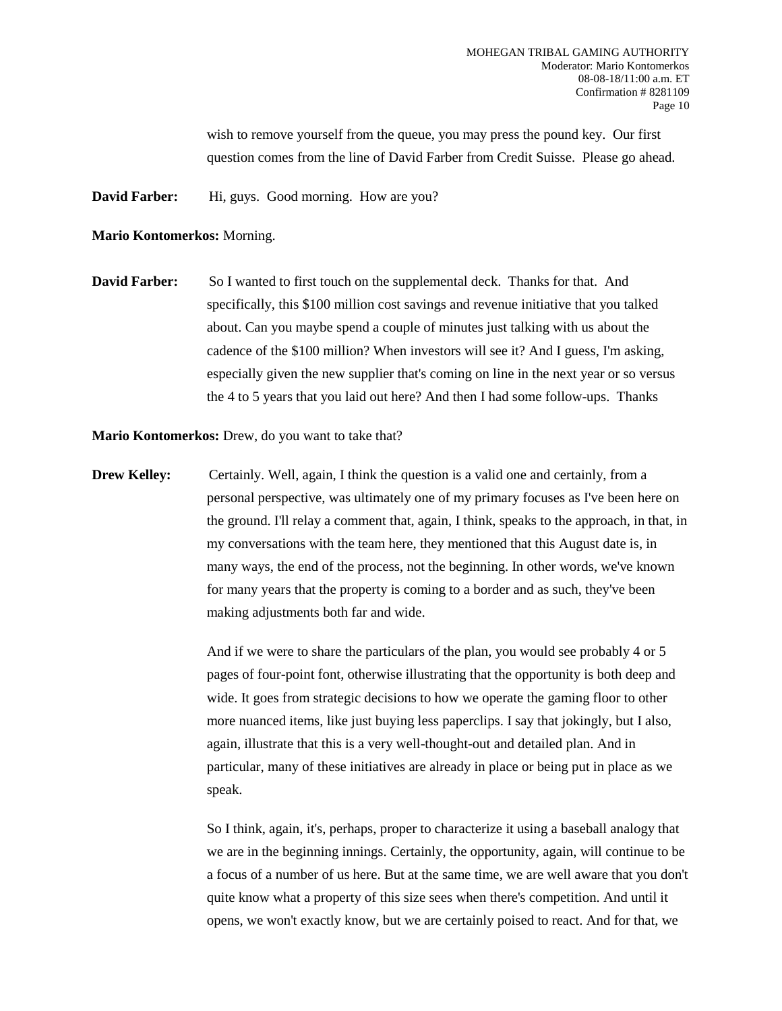wish to remove yourself from the queue, you may press the pound key. Our first question comes from the line of David Farber from Credit Suisse. Please go ahead.

**David Farber:** Hi, guys. Good morning. How are you?

#### **Mario Kontomerkos:** Morning.

**David Farber:** So I wanted to first touch on the supplemental deck. Thanks for that. And specifically, this \$100 million cost savings and revenue initiative that you talked about. Can you maybe spend a couple of minutes just talking with us about the cadence of the \$100 million? When investors will see it? And I guess, I'm asking, especially given the new supplier that's coming on line in the next year or so versus the 4 to 5 years that you laid out here? And then I had some follow-ups. Thanks

**Mario Kontomerkos:** Drew, do you want to take that?

**Drew Kelley:** Certainly. Well, again, I think the question is a valid one and certainly, from a personal perspective, was ultimately one of my primary focuses as I've been here on the ground. I'll relay a comment that, again, I think, speaks to the approach, in that, in my conversations with the team here, they mentioned that this August date is, in many ways, the end of the process, not the beginning. In other words, we've known for many years that the property is coming to a border and as such, they've been making adjustments both far and wide.

> And if we were to share the particulars of the plan, you would see probably 4 or 5 pages of four-point font, otherwise illustrating that the opportunity is both deep and wide. It goes from strategic decisions to how we operate the gaming floor to other more nuanced items, like just buying less paperclips. I say that jokingly, but I also, again, illustrate that this is a very well-thought-out and detailed plan. And in particular, many of these initiatives are already in place or being put in place as we speak.

So I think, again, it's, perhaps, proper to characterize it using a baseball analogy that we are in the beginning innings. Certainly, the opportunity, again, will continue to be a focus of a number of us here. But at the same time, we are well aware that you don't quite know what a property of this size sees when there's competition. And until it opens, we won't exactly know, but we are certainly poised to react. And for that, we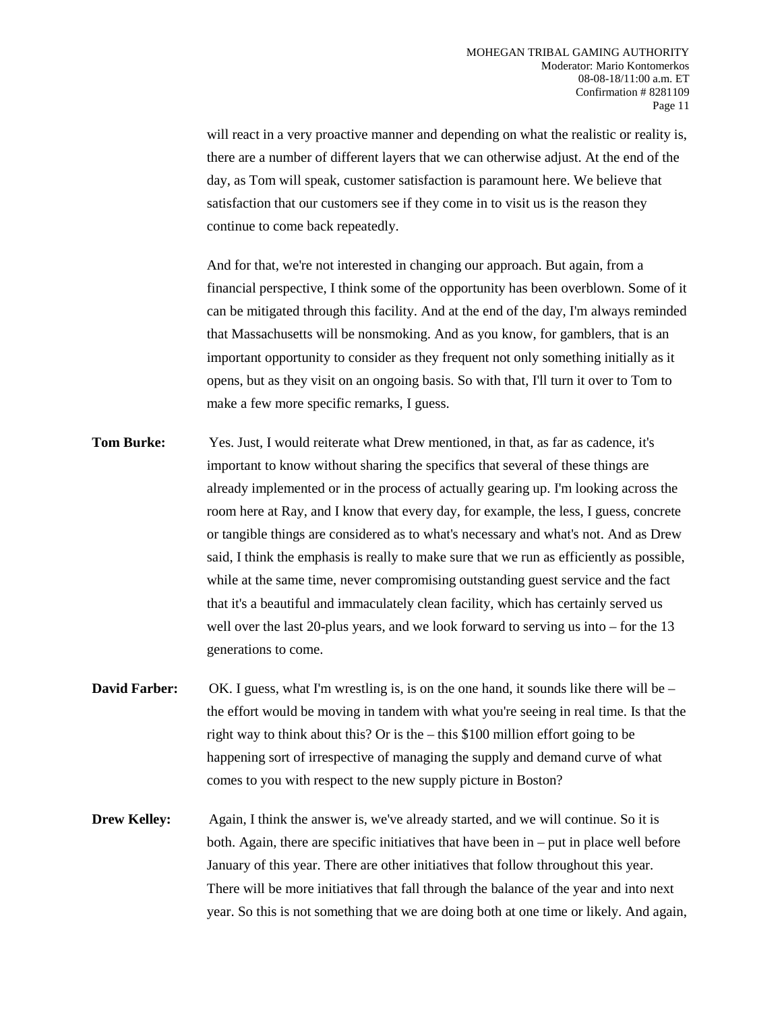will react in a very proactive manner and depending on what the realistic or reality is, there are a number of different layers that we can otherwise adjust. At the end of the day, as Tom will speak, customer satisfaction is paramount here. We believe that satisfaction that our customers see if they come in to visit us is the reason they continue to come back repeatedly.

And for that, we're not interested in changing our approach. But again, from a financial perspective, I think some of the opportunity has been overblown. Some of it can be mitigated through this facility. And at the end of the day, I'm always reminded that Massachusetts will be nonsmoking. And as you know, for gamblers, that is an important opportunity to consider as they frequent not only something initially as it opens, but as they visit on an ongoing basis. So with that, I'll turn it over to Tom to make a few more specific remarks, I guess.

- **Tom Burke:** Yes. Just, I would reiterate what Drew mentioned, in that, as far as cadence, it's important to know without sharing the specifics that several of these things are already implemented or in the process of actually gearing up. I'm looking across the room here at Ray, and I know that every day, for example, the less, I guess, concrete or tangible things are considered as to what's necessary and what's not. And as Drew said, I think the emphasis is really to make sure that we run as efficiently as possible, while at the same time, never compromising outstanding guest service and the fact that it's a beautiful and immaculately clean facility, which has certainly served us well over the last 20-plus years, and we look forward to serving us into – for the 13 generations to come.
- **David Farber:** OK. I guess, what I'm wrestling is, is on the one hand, it sounds like there will be the effort would be moving in tandem with what you're seeing in real time. Is that the right way to think about this? Or is the – this \$100 million effort going to be happening sort of irrespective of managing the supply and demand curve of what comes to you with respect to the new supply picture in Boston?
- **Drew Kelley:** Again, I think the answer is, we've already started, and we will continue. So it is both. Again, there are specific initiatives that have been in – put in place well before January of this year. There are other initiatives that follow throughout this year. There will be more initiatives that fall through the balance of the year and into next year. So this is not something that we are doing both at one time or likely. And again,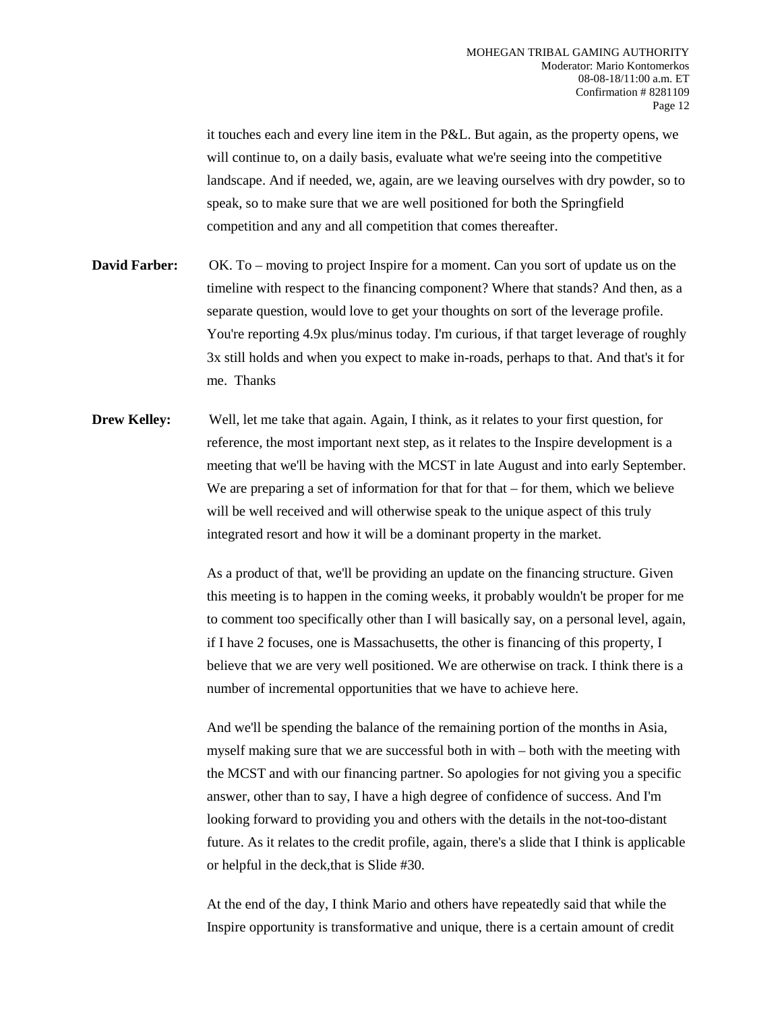it touches each and every line item in the P&L. But again, as the property opens, we will continue to, on a daily basis, evaluate what we're seeing into the competitive landscape. And if needed, we, again, are we leaving ourselves with dry powder, so to speak, so to make sure that we are well positioned for both the Springfield competition and any and all competition that comes thereafter.

- **David Farber:** OK. To moving to project Inspire for a moment. Can you sort of update us on the timeline with respect to the financing component? Where that stands? And then, as a separate question, would love to get your thoughts on sort of the leverage profile. You're reporting 4.9x plus/minus today. I'm curious, if that target leverage of roughly 3x still holds and when you expect to make in-roads, perhaps to that. And that's it for me. Thanks
- **Drew Kelley:** Well, let me take that again. Again, I think, as it relates to your first question, for reference, the most important next step, as it relates to the Inspire development is a meeting that we'll be having with the MCST in late August and into early September. We are preparing a set of information for that for that  $-$  for them, which we believe will be well received and will otherwise speak to the unique aspect of this truly integrated resort and how it will be a dominant property in the market.

As a product of that, we'll be providing an update on the financing structure. Given this meeting is to happen in the coming weeks, it probably wouldn't be proper for me to comment too specifically other than I will basically say, on a personal level, again, if I have 2 focuses, one is Massachusetts, the other is financing of this property, I believe that we are very well positioned. We are otherwise on track. I think there is a number of incremental opportunities that we have to achieve here.

And we'll be spending the balance of the remaining portion of the months in Asia, myself making sure that we are successful both in with – both with the meeting with the MCST and with our financing partner. So apologies for not giving you a specific answer, other than to say, I have a high degree of confidence of success. And I'm looking forward to providing you and others with the details in the not-too-distant future. As it relates to the credit profile, again, there's a slide that I think is applicable or helpful in the deck,that is Slide #30.

At the end of the day, I think Mario and others have repeatedly said that while the Inspire opportunity is transformative and unique, there is a certain amount of credit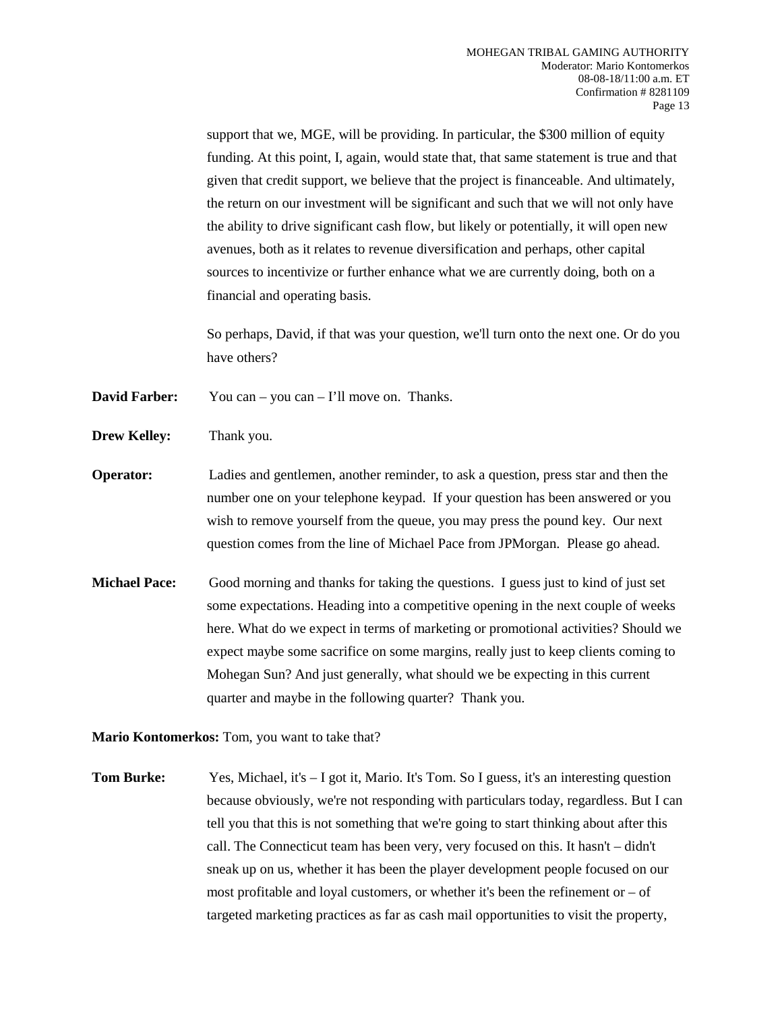support that we, MGE, will be providing. In particular, the \$300 million of equity funding. At this point, I, again, would state that, that same statement is true and that given that credit support, we believe that the project is financeable. And ultimately, the return on our investment will be significant and such that we will not only have the ability to drive significant cash flow, but likely or potentially, it will open new avenues, both as it relates to revenue diversification and perhaps, other capital sources to incentivize or further enhance what we are currently doing, both on a financial and operating basis.

So perhaps, David, if that was your question, we'll turn onto the next one. Or do you have others?

**David Farber:** You can – you can – I'll move on. Thanks.

- **Drew Kelley:** Thank you.
- **Operator:** Ladies and gentlemen, another reminder, to ask a question, press star and then the number one on your telephone keypad. If your question has been answered or you wish to remove yourself from the queue, you may press the pound key. Our next question comes from the line of Michael Pace from JPMorgan. Please go ahead.
- **Michael Pace:** Good morning and thanks for taking the questions. I guess just to kind of just set some expectations. Heading into a competitive opening in the next couple of weeks here. What do we expect in terms of marketing or promotional activities? Should we expect maybe some sacrifice on some margins, really just to keep clients coming to Mohegan Sun? And just generally, what should we be expecting in this current quarter and maybe in the following quarter? Thank you.

**Mario Kontomerkos:** Tom, you want to take that?

**Tom Burke:** Yes, Michael, it's  $-$  I got it, Mario. It's Tom. So I guess, it's an interesting question because obviously, we're not responding with particulars today, regardless. But I can tell you that this is not something that we're going to start thinking about after this call. The Connecticut team has been very, very focused on this. It hasn't – didn't sneak up on us, whether it has been the player development people focused on our most profitable and loyal customers, or whether it's been the refinement or  $-$  of targeted marketing practices as far as cash mail opportunities to visit the property,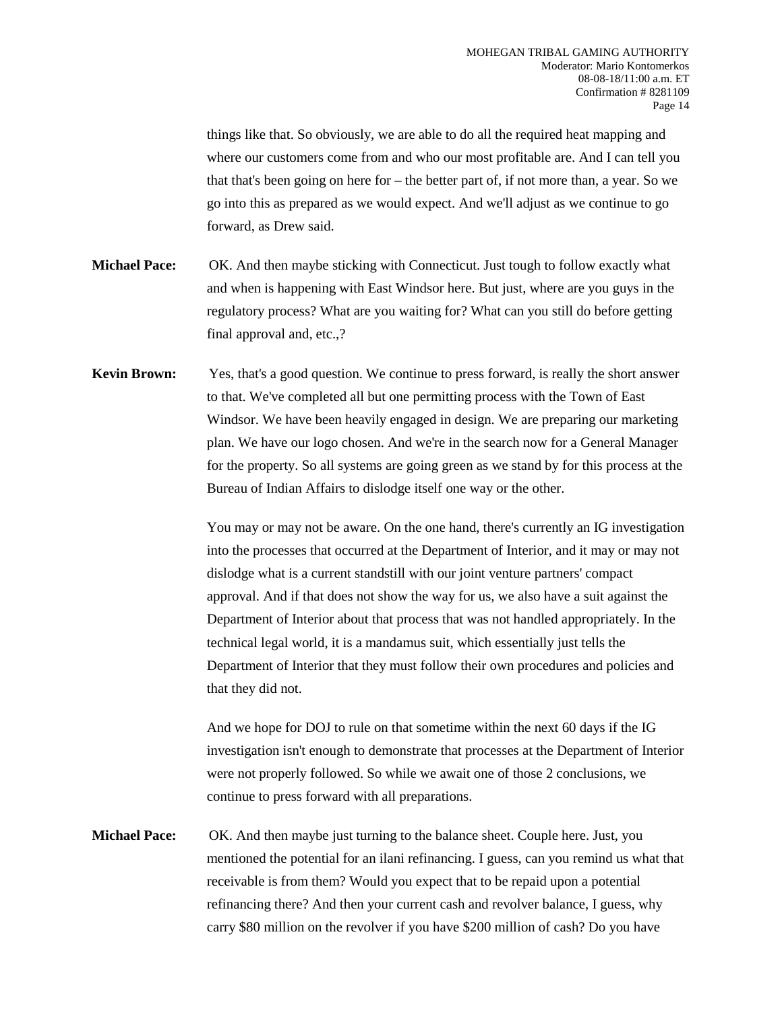things like that. So obviously, we are able to do all the required heat mapping and where our customers come from and who our most profitable are. And I can tell you that that's been going on here for – the better part of, if not more than, a year. So we go into this as prepared as we would expect. And we'll adjust as we continue to go forward, as Drew said.

- **Michael Pace:** OK. And then maybe sticking with Connecticut. Just tough to follow exactly what and when is happening with East Windsor here. But just, where are you guys in the regulatory process? What are you waiting for? What can you still do before getting final approval and, etc.,?
- **Kevin Brown:** Yes, that's a good question. We continue to press forward, is really the short answer to that. We've completed all but one permitting process with the Town of East Windsor. We have been heavily engaged in design. We are preparing our marketing plan. We have our logo chosen. And we're in the search now for a General Manager for the property. So all systems are going green as we stand by for this process at the Bureau of Indian Affairs to dislodge itself one way or the other.

You may or may not be aware. On the one hand, there's currently an IG investigation into the processes that occurred at the Department of Interior, and it may or may not dislodge what is a current standstill with our joint venture partners' compact approval. And if that does not show the way for us, we also have a suit against the Department of Interior about that process that was not handled appropriately. In the technical legal world, it is a mandamus suit, which essentially just tells the Department of Interior that they must follow their own procedures and policies and that they did not.

And we hope for DOJ to rule on that sometime within the next 60 days if the IG investigation isn't enough to demonstrate that processes at the Department of Interior were not properly followed. So while we await one of those 2 conclusions, we continue to press forward with all preparations.

**Michael Pace:** OK. And then maybe just turning to the balance sheet. Couple here. Just, you mentioned the potential for an ilani refinancing. I guess, can you remind us what that receivable is from them? Would you expect that to be repaid upon a potential refinancing there? And then your current cash and revolver balance, I guess, why carry \$80 million on the revolver if you have \$200 million of cash? Do you have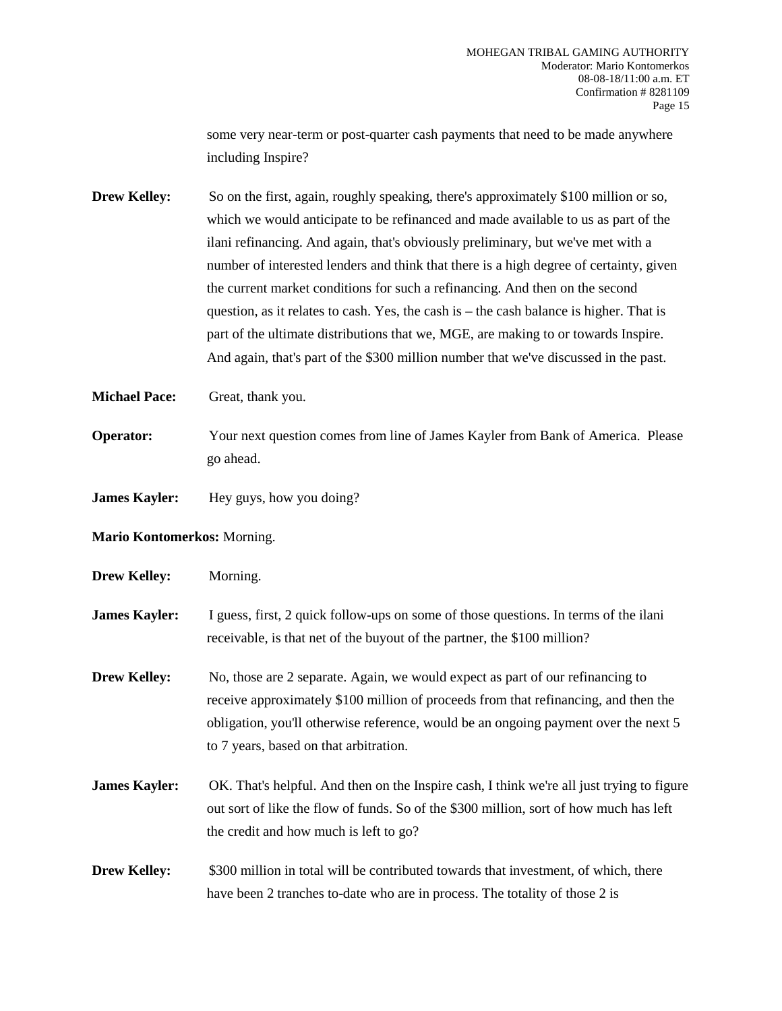some very near-term or post-quarter cash payments that need to be made anywhere including Inspire?

**Drew Kelley:** So on the first, again, roughly speaking, there's approximately \$100 million or so, which we would anticipate to be refinanced and made available to us as part of the ilani refinancing. And again, that's obviously preliminary, but we've met with a number of interested lenders and think that there is a high degree of certainty, given the current market conditions for such a refinancing. And then on the second question, as it relates to cash. Yes, the cash is – the cash balance is higher. That is part of the ultimate distributions that we, MGE, are making to or towards Inspire. And again, that's part of the \$300 million number that we've discussed in the past.

- **Michael Pace:** Great, thank you.
- **Operator:** Your next question comes from line of James Kayler from Bank of America. Please go ahead.
- **James Kayler:** Hey guys, how you doing?
- **Mario Kontomerkos:** Morning.
- **Drew Kelley:** Morning.
- **James Kayler:** I guess, first, 2 quick follow-ups on some of those questions. In terms of the ilani receivable, is that net of the buyout of the partner, the \$100 million?
- **Drew Kelley:** No, those are 2 separate. Again, we would expect as part of our refinancing to receive approximately \$100 million of proceeds from that refinancing, and then the obligation, you'll otherwise reference, would be an ongoing payment over the next 5 to 7 years, based on that arbitration.
- **James Kayler:** OK. That's helpful. And then on the Inspire cash, I think we're all just trying to figure out sort of like the flow of funds. So of the \$300 million, sort of how much has left the credit and how much is left to go?

# **Drew Kelley:** \$300 million in total will be contributed towards that investment, of which, there have been 2 tranches to-date who are in process. The totality of those 2 is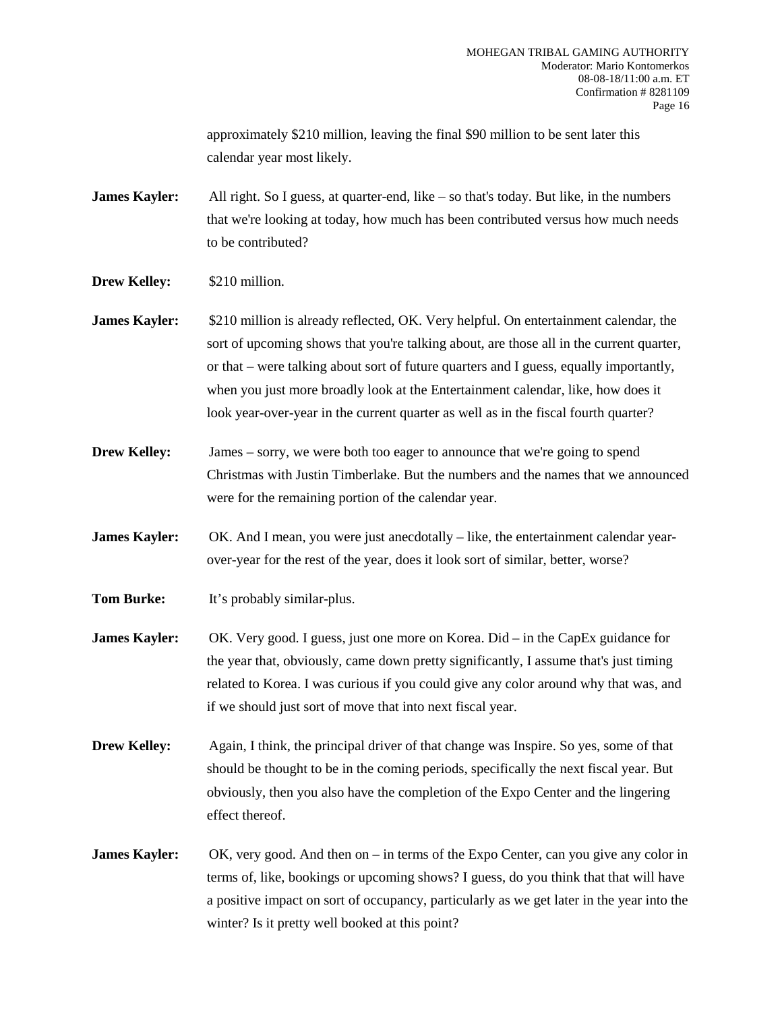approximately \$210 million, leaving the final \$90 million to be sent later this calendar year most likely.

**James Kayler:** All right. So I guess, at quarter-end, like – so that's today. But like, in the numbers that we're looking at today, how much has been contributed versus how much needs to be contributed?

- **Drew Kelley:** \$210 million.
- **James Kayler:** \$210 million is already reflected, OK. Very helpful. On entertainment calendar, the sort of upcoming shows that you're talking about, are those all in the current quarter, or that – were talking about sort of future quarters and I guess, equally importantly, when you just more broadly look at the Entertainment calendar, like, how does it look year-over-year in the current quarter as well as in the fiscal fourth quarter?
- **Drew Kelley:** James sorry, we were both too eager to announce that we're going to spend Christmas with Justin Timberlake. But the numbers and the names that we announced were for the remaining portion of the calendar year.
- **James Kayler:** OK. And I mean, you were just anecdotally like, the entertainment calendar yearover-year for the rest of the year, does it look sort of similar, better, worse?
- **Tom Burke:** It's probably similar-plus.
- **James Kayler:** OK. Very good. I guess, just one more on Korea. Did in the CapEx guidance for the year that, obviously, came down pretty significantly, I assume that's just timing related to Korea. I was curious if you could give any color around why that was, and if we should just sort of move that into next fiscal year.
- **Drew Kelley:** Again, I think, the principal driver of that change was Inspire. So yes, some of that should be thought to be in the coming periods, specifically the next fiscal year. But obviously, then you also have the completion of the Expo Center and the lingering effect thereof.
- **James Kayler:** OK, very good. And then on in terms of the Expo Center, can you give any color in terms of, like, bookings or upcoming shows? I guess, do you think that that will have a positive impact on sort of occupancy, particularly as we get later in the year into the winter? Is it pretty well booked at this point?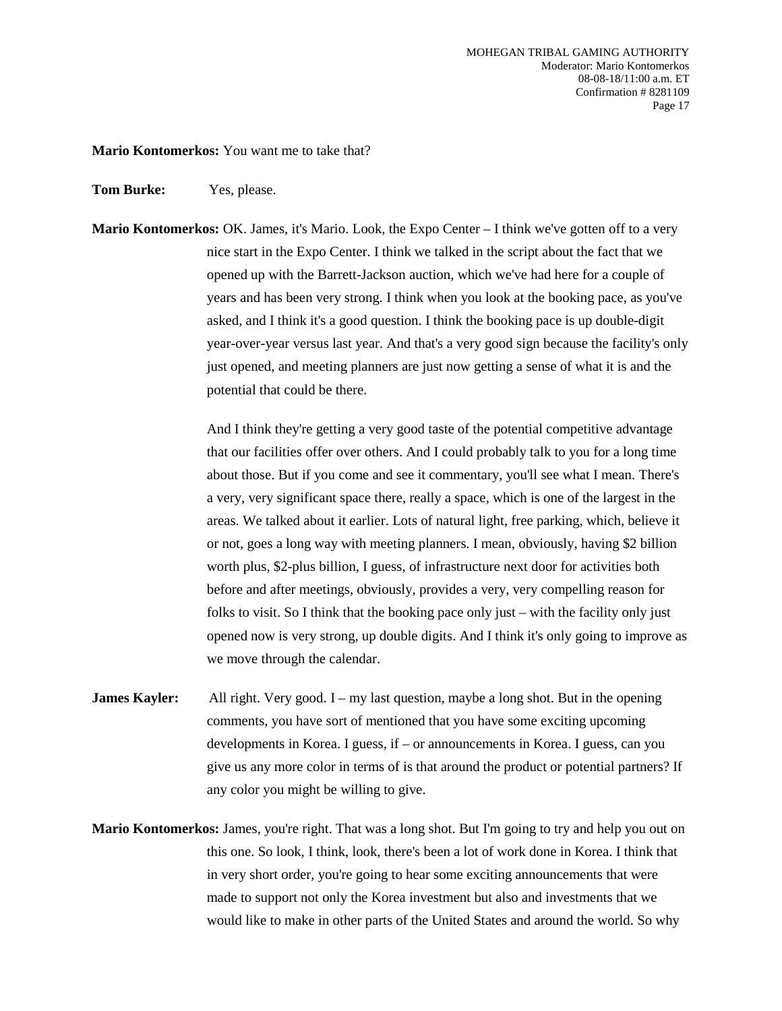**Mario Kontomerkos:** You want me to take that?

**Tom Burke:** Yes, please.

**Mario Kontomerkos:** OK. James, it's Mario. Look, the Expo Center – I think we've gotten off to a very nice start in the Expo Center. I think we talked in the script about the fact that we opened up with the Barrett-Jackson auction, which we've had here for a couple of years and has been very strong. I think when you look at the booking pace, as you've asked, and I think it's a good question. I think the booking pace is up double-digit year-over-year versus last year. And that's a very good sign because the facility's only just opened, and meeting planners are just now getting a sense of what it is and the potential that could be there.

> And I think they're getting a very good taste of the potential competitive advantage that our facilities offer over others. And I could probably talk to you for a long time about those. But if you come and see it commentary, you'll see what I mean. There's a very, very significant space there, really a space, which is one of the largest in the areas. We talked about it earlier. Lots of natural light, free parking, which, believe it or not, goes a long way with meeting planners. I mean, obviously, having \$2 billion worth plus, \$2-plus billion, I guess, of infrastructure next door for activities both before and after meetings, obviously, provides a very, very compelling reason for folks to visit. So I think that the booking pace only just – with the facility only just opened now is very strong, up double digits. And I think it's only going to improve as we move through the calendar.

- **James Kayler:** All right. Very good. I my last question, maybe a long shot. But in the opening comments, you have sort of mentioned that you have some exciting upcoming developments in Korea. I guess, if – or announcements in Korea. I guess, can you give us any more color in terms of is that around the product or potential partners? If any color you might be willing to give.
- **Mario Kontomerkos:** James, you're right. That was a long shot. But I'm going to try and help you out on this one. So look, I think, look, there's been a lot of work done in Korea. I think that in very short order, you're going to hear some exciting announcements that were made to support not only the Korea investment but also and investments that we would like to make in other parts of the United States and around the world. So why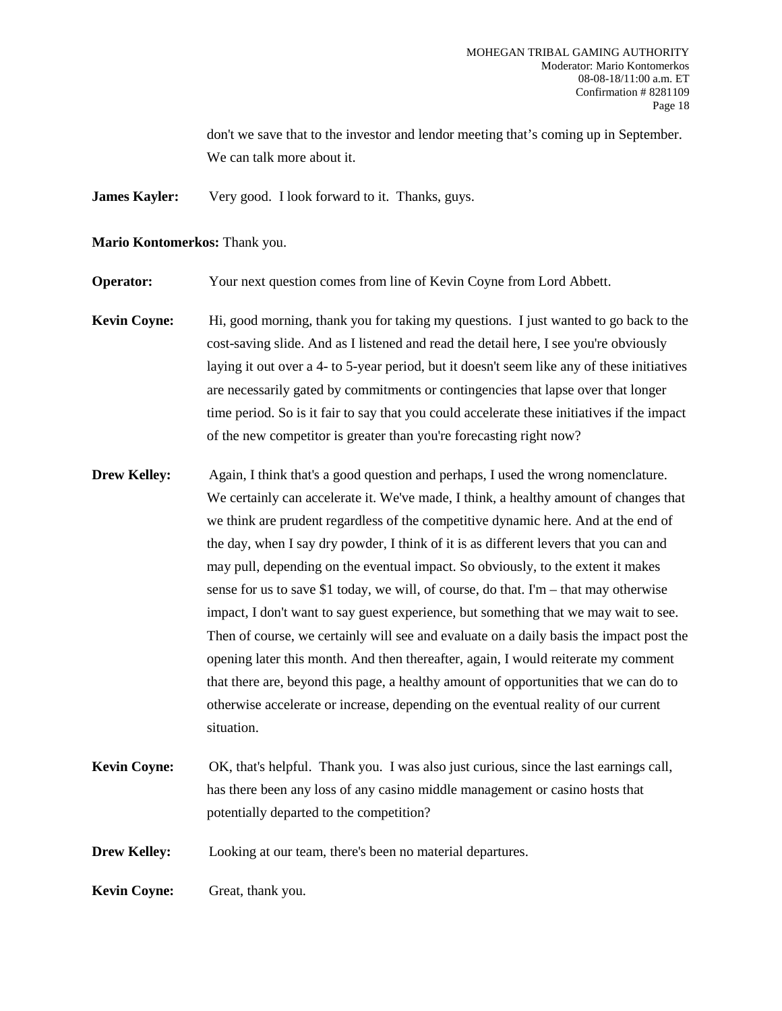don't we save that to the investor and lendor meeting that's coming up in September. We can talk more about it.

**James Kayler:** Very good. I look forward to it. Thanks, guys.

**Mario Kontomerkos:** Thank you.

**Operator:** Your next question comes from line of Kevin Coyne from Lord Abbett.

**Kevin Coyne:** Hi, good morning, thank you for taking my questions. I just wanted to go back to the cost-saving slide. And as I listened and read the detail here, I see you're obviously laying it out over a 4- to 5-year period, but it doesn't seem like any of these initiatives are necessarily gated by commitments or contingencies that lapse over that longer time period. So is it fair to say that you could accelerate these initiatives if the impact of the new competitor is greater than you're forecasting right now?

**Drew Kelley:** Again, I think that's a good question and perhaps, I used the wrong nomenclature. We certainly can accelerate it. We've made, I think, a healthy amount of changes that we think are prudent regardless of the competitive dynamic here. And at the end of the day, when I say dry powder, I think of it is as different levers that you can and may pull, depending on the eventual impact. So obviously, to the extent it makes sense for us to save \$1 today, we will, of course, do that. I'm – that may otherwise impact, I don't want to say guest experience, but something that we may wait to see. Then of course, we certainly will see and evaluate on a daily basis the impact post the opening later this month. And then thereafter, again, I would reiterate my comment that there are, beyond this page, a healthy amount of opportunities that we can do to otherwise accelerate or increase, depending on the eventual reality of our current situation.

**Kevin Coyne:** OK, that's helpful. Thank you. I was also just curious, since the last earnings call, has there been any loss of any casino middle management or casino hosts that potentially departed to the competition?

**Drew Kelley:** Looking at our team, there's been no material departures.

**Kevin Coyne:** Great, thank you.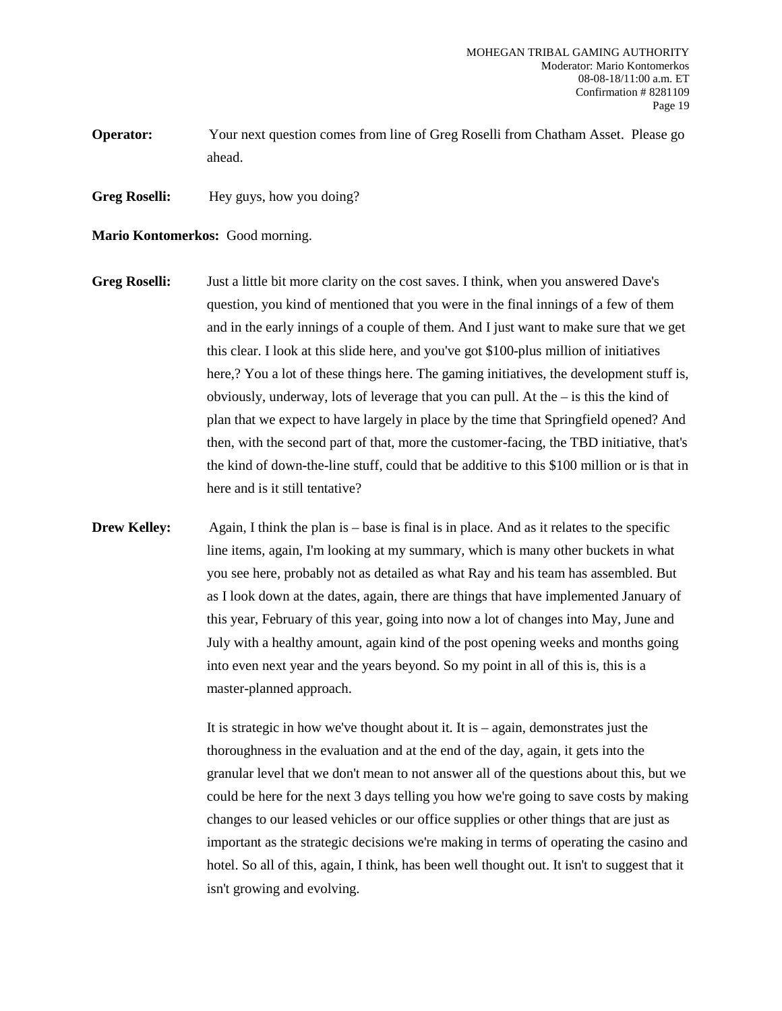- **Operator:** Your next question comes from line of Greg Roselli from Chatham Asset. Please go ahead.
- Greg Roselli: Hey guys, how you doing?

#### **Mario Kontomerkos:** Good morning.

- **Greg Roselli:** Just a little bit more clarity on the cost saves. I think, when you answered Dave's question, you kind of mentioned that you were in the final innings of a few of them and in the early innings of a couple of them. And I just want to make sure that we get this clear. I look at this slide here, and you've got \$100-plus million of initiatives here,? You a lot of these things here. The gaming initiatives, the development stuff is, obviously, underway, lots of leverage that you can pull. At the – is this the kind of plan that we expect to have largely in place by the time that Springfield opened? And then, with the second part of that, more the customer-facing, the TBD initiative, that's the kind of down-the-line stuff, could that be additive to this \$100 million or is that in here and is it still tentative?
- **Drew Kelley:** Again, I think the plan is base is final is in place. And as it relates to the specific line items, again, I'm looking at my summary, which is many other buckets in what you see here, probably not as detailed as what Ray and his team has assembled. But as I look down at the dates, again, there are things that have implemented January of this year, February of this year, going into now a lot of changes into May, June and July with a healthy amount, again kind of the post opening weeks and months going into even next year and the years beyond. So my point in all of this is, this is a master-planned approach.

It is strategic in how we've thought about it. It is  $-$  again, demonstrates just the thoroughness in the evaluation and at the end of the day, again, it gets into the granular level that we don't mean to not answer all of the questions about this, but we could be here for the next 3 days telling you how we're going to save costs by making changes to our leased vehicles or our office supplies or other things that are just as important as the strategic decisions we're making in terms of operating the casino and hotel. So all of this, again, I think, has been well thought out. It isn't to suggest that it isn't growing and evolving.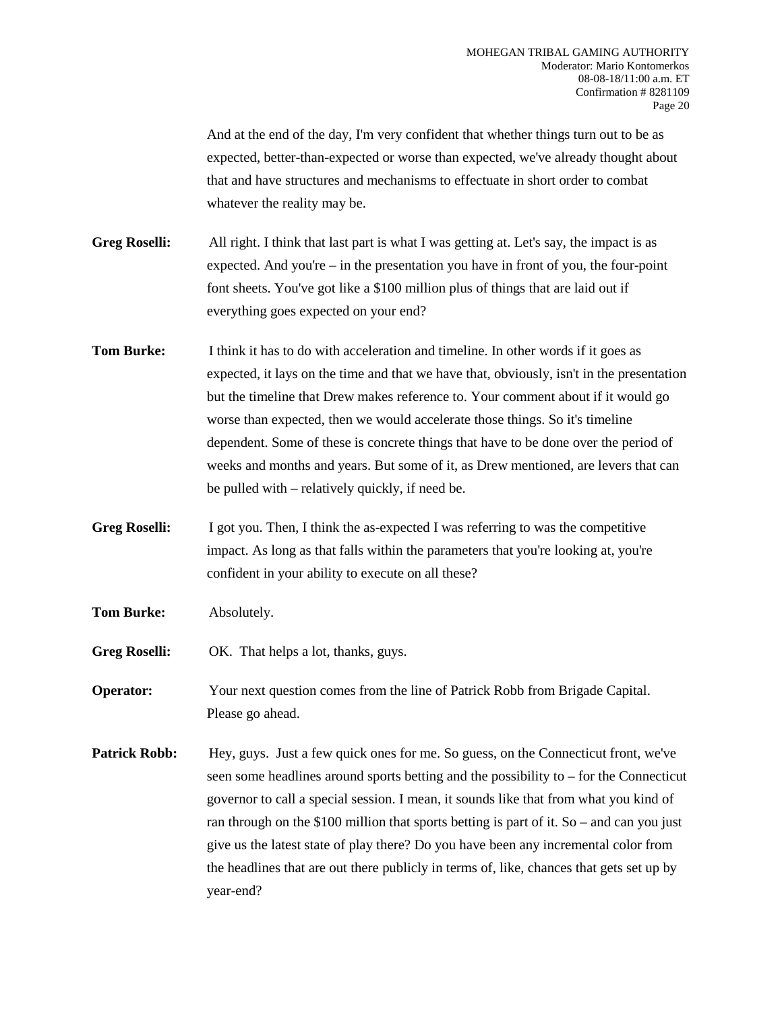And at the end of the day, I'm very confident that whether things turn out to be as expected, better-than-expected or worse than expected, we've already thought about that and have structures and mechanisms to effectuate in short order to combat whatever the reality may be.

**Greg Roselli:** All right. I think that last part is what I was getting at. Let's say, the impact is as expected. And you're  $-$  in the presentation you have in front of you, the four-point font sheets. You've got like a \$100 million plus of things that are laid out if everything goes expected on your end?

- **Tom Burke:** I think it has to do with acceleration and timeline. In other words if it goes as expected, it lays on the time and that we have that, obviously, isn't in the presentation but the timeline that Drew makes reference to. Your comment about if it would go worse than expected, then we would accelerate those things. So it's timeline dependent. Some of these is concrete things that have to be done over the period of weeks and months and years. But some of it, as Drew mentioned, are levers that can be pulled with – relatively quickly, if need be.
- **Greg Roselli:** I got you. Then, I think the as-expected I was referring to was the competitive impact. As long as that falls within the parameters that you're looking at, you're confident in your ability to execute on all these?
- **Tom Burke:** Absolutely.
- **Greg Roselli:** OK. That helps a lot, thanks, guys.
- **Operator:** Your next question comes from the line of Patrick Robb from Brigade Capital. Please go ahead.
- **Patrick Robb:** Hey, guys. Just a few quick ones for me. So guess, on the Connecticut front, we've seen some headlines around sports betting and the possibility to – for the Connecticut governor to call a special session. I mean, it sounds like that from what you kind of ran through on the \$100 million that sports betting is part of it. So – and can you just give us the latest state of play there? Do you have been any incremental color from the headlines that are out there publicly in terms of, like, chances that gets set up by year-end?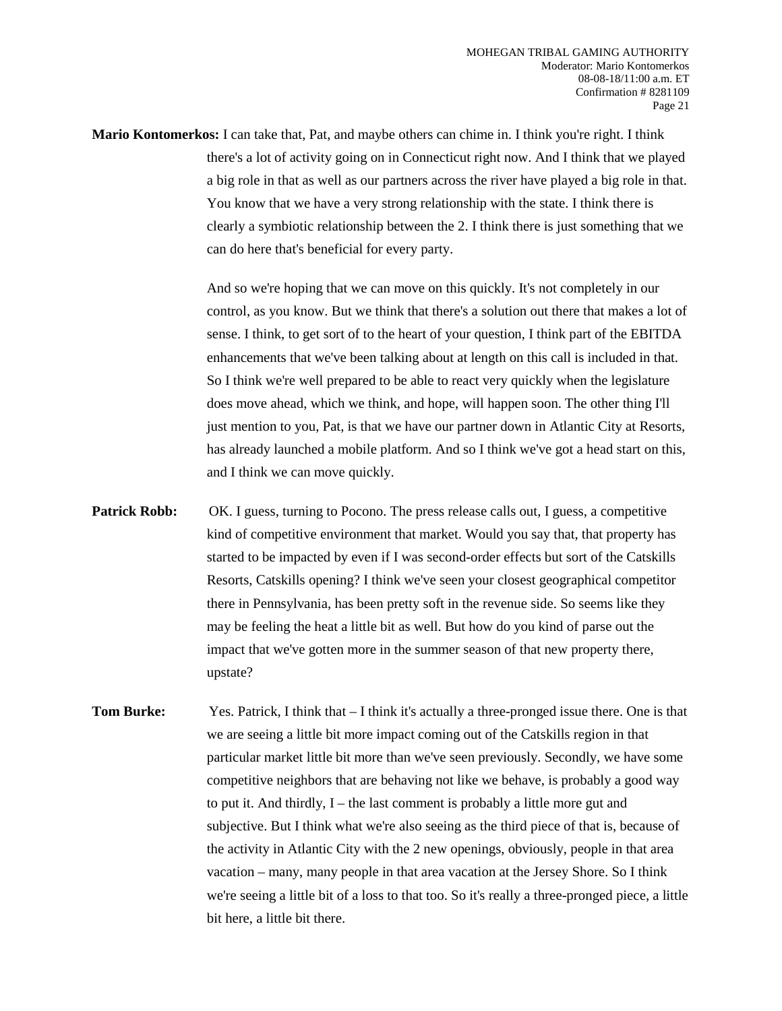**Mario Kontomerkos:** I can take that, Pat, and maybe others can chime in. I think you're right. I think there's a lot of activity going on in Connecticut right now. And I think that we played a big role in that as well as our partners across the river have played a big role in that. You know that we have a very strong relationship with the state. I think there is clearly a symbiotic relationship between the 2. I think there is just something that we can do here that's beneficial for every party.

> And so we're hoping that we can move on this quickly. It's not completely in our control, as you know. But we think that there's a solution out there that makes a lot of sense. I think, to get sort of to the heart of your question, I think part of the EBITDA enhancements that we've been talking about at length on this call is included in that. So I think we're well prepared to be able to react very quickly when the legislature does move ahead, which we think, and hope, will happen soon. The other thing I'll just mention to you, Pat, is that we have our partner down in Atlantic City at Resorts, has already launched a mobile platform. And so I think we've got a head start on this, and I think we can move quickly.

- **Patrick Robb:** OK. I guess, turning to Pocono. The press release calls out, I guess, a competitive kind of competitive environment that market. Would you say that, that property has started to be impacted by even if I was second-order effects but sort of the Catskills Resorts, Catskills opening? I think we've seen your closest geographical competitor there in Pennsylvania, has been pretty soft in the revenue side. So seems like they may be feeling the heat a little bit as well. But how do you kind of parse out the impact that we've gotten more in the summer season of that new property there, upstate?
- **Tom Burke:** Yes. Patrick, I think that  $-$  I think it's actually a three-pronged issue there. One is that we are seeing a little bit more impact coming out of the Catskills region in that particular market little bit more than we've seen previously. Secondly, we have some competitive neighbors that are behaving not like we behave, is probably a good way to put it. And thirdly, I – the last comment is probably a little more gut and subjective. But I think what we're also seeing as the third piece of that is, because of the activity in Atlantic City with the 2 new openings, obviously, people in that area vacation – many, many people in that area vacation at the Jersey Shore. So I think we're seeing a little bit of a loss to that too. So it's really a three-pronged piece, a little bit here, a little bit there.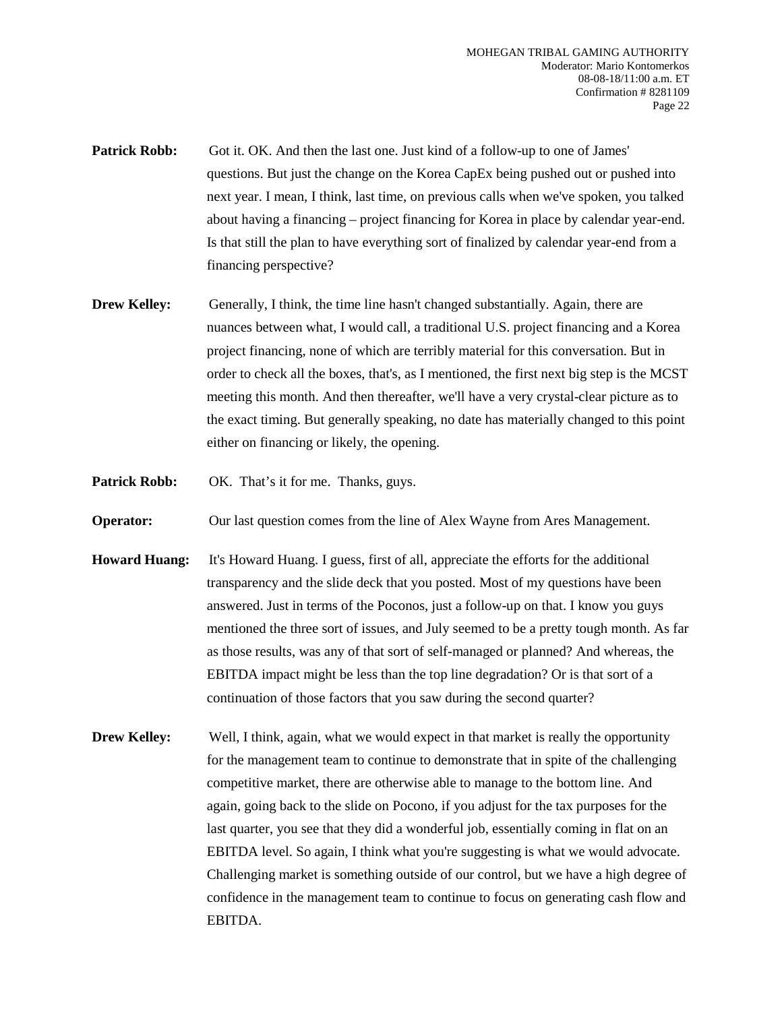- **Patrick Robb:** Got it. OK. And then the last one. Just kind of a follow-up to one of James' questions. But just the change on the Korea CapEx being pushed out or pushed into next year. I mean, I think, last time, on previous calls when we've spoken, you talked about having a financing – project financing for Korea in place by calendar year-end. Is that still the plan to have everything sort of finalized by calendar year-end from a financing perspective?
- **Drew Kelley:** Generally, I think, the time line hasn't changed substantially. Again, there are nuances between what, I would call, a traditional U.S. project financing and a Korea project financing, none of which are terribly material for this conversation. But in order to check all the boxes, that's, as I mentioned, the first next big step is the MCST meeting this month. And then thereafter, we'll have a very crystal-clear picture as to the exact timing. But generally speaking, no date has materially changed to this point either on financing or likely, the opening.
- **Patrick Robb:** OK. That's it for me. Thanks, guys.

**Operator:** Our last question comes from the line of Alex Wayne from Ares Management.

- **Howard Huang:** It's Howard Huang. I guess, first of all, appreciate the efforts for the additional transparency and the slide deck that you posted. Most of my questions have been answered. Just in terms of the Poconos, just a follow-up on that. I know you guys mentioned the three sort of issues, and July seemed to be a pretty tough month. As far as those results, was any of that sort of self-managed or planned? And whereas, the EBITDA impact might be less than the top line degradation? Or is that sort of a continuation of those factors that you saw during the second quarter?
- **Drew Kelley:** Well, I think, again, what we would expect in that market is really the opportunity for the management team to continue to demonstrate that in spite of the challenging competitive market, there are otherwise able to manage to the bottom line. And again, going back to the slide on Pocono, if you adjust for the tax purposes for the last quarter, you see that they did a wonderful job, essentially coming in flat on an EBITDA level. So again, I think what you're suggesting is what we would advocate. Challenging market is something outside of our control, but we have a high degree of confidence in the management team to continue to focus on generating cash flow and EBITDA.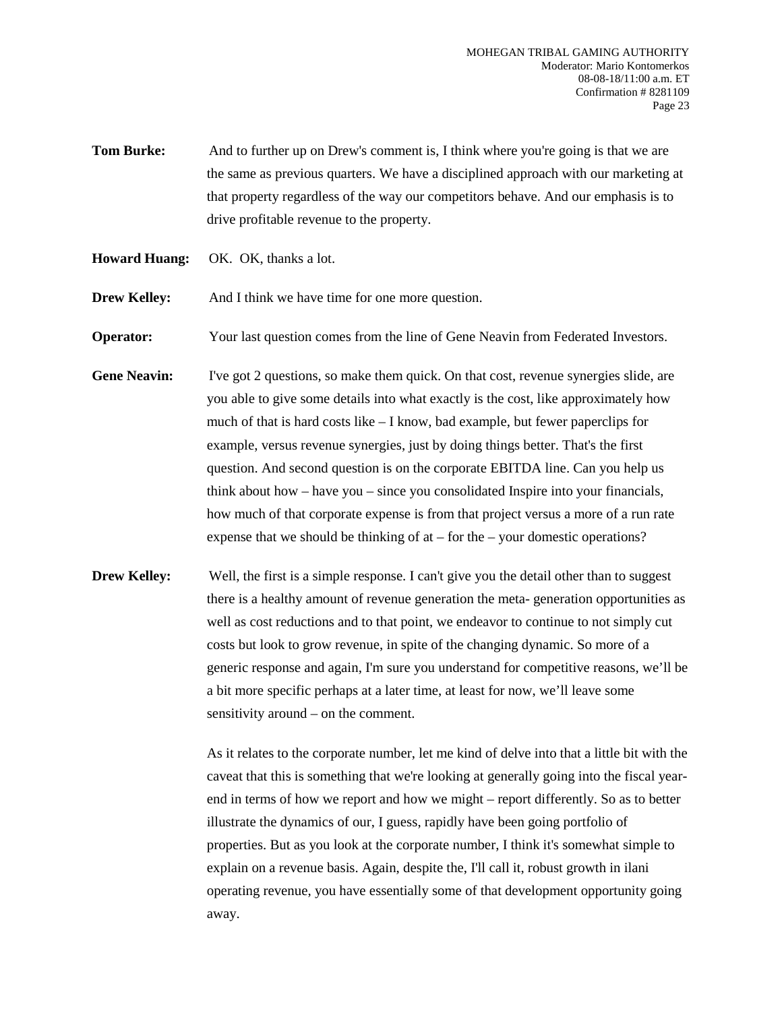- **Tom Burke:** And to further up on Drew's comment is, I think where you're going is that we are the same as previous quarters. We have a disciplined approach with our marketing at that property regardless of the way our competitors behave. And our emphasis is to drive profitable revenue to the property.
- **Howard Huang:** OK. OK, thanks a lot.

**Drew Kelley:** And I think we have time for one more question.

**Operator:** Your last question comes from the line of Gene Neavin from Federated Investors.

- **Gene Neavin:** I've got 2 questions, so make them quick. On that cost, revenue synergies slide, are you able to give some details into what exactly is the cost, like approximately how much of that is hard costs like – I know, bad example, but fewer paperclips for example, versus revenue synergies, just by doing things better. That's the first question. And second question is on the corporate EBITDA line. Can you help us think about how – have you – since you consolidated Inspire into your financials, how much of that corporate expense is from that project versus a more of a run rate expense that we should be thinking of at – for the – your domestic operations?
- **Drew Kelley:** Well, the first is a simple response. I can't give you the detail other than to suggest there is a healthy amount of revenue generation the meta- generation opportunities as well as cost reductions and to that point, we endeavor to continue to not simply cut costs but look to grow revenue, in spite of the changing dynamic. So more of a generic response and again, I'm sure you understand for competitive reasons, we'll be a bit more specific perhaps at a later time, at least for now, we'll leave some sensitivity around – on the comment.

As it relates to the corporate number, let me kind of delve into that a little bit with the caveat that this is something that we're looking at generally going into the fiscal yearend in terms of how we report and how we might – report differently. So as to better illustrate the dynamics of our, I guess, rapidly have been going portfolio of properties. But as you look at the corporate number, I think it's somewhat simple to explain on a revenue basis. Again, despite the, I'll call it, robust growth in ilani operating revenue, you have essentially some of that development opportunity going away.